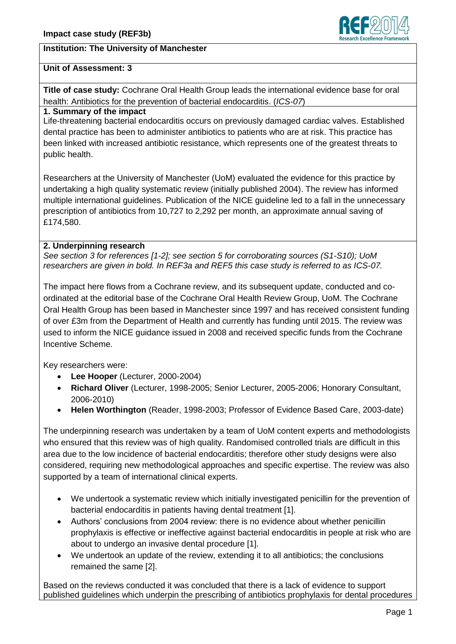# **Institution: The University of Manchester**



### **Unit of Assessment: 3**

**Title of case study:** Cochrane Oral Health Group leads the international evidence base for oral health: Antibiotics for the prevention of bacterial endocarditis. (*ICS-07*)

## **1. Summary of the impact**

Life-threatening bacterial endocarditis occurs on previously damaged cardiac valves. Established dental practice has been to administer antibiotics to patients who are at risk. This practice has been linked with increased antibiotic resistance, which represents one of the greatest threats to public health.

Researchers at the University of Manchester (UoM) evaluated the evidence for this practice by undertaking a high quality systematic review (initially published 2004). The review has informed multiple international guidelines. Publication of the NICE guideline led to a fall in the unnecessary prescription of antibiotics from 10,727 to 2,292 per month, an approximate annual saving of £174,580.

# **2. Underpinning research**

*See section 3 for references [1-2]; see section 5 for corroborating sources (S1-S10); UoM researchers are given in bold. In REF3a and REF5 this case study is referred to as ICS-07.*

The impact here flows from a Cochrane review, and its subsequent update, conducted and coordinated at the editorial base of the Cochrane Oral Health Review Group, UoM. The Cochrane Oral Health Group has been based in Manchester since 1997 and has received consistent funding of over £3m from the Department of Health and currently has funding until 2015. The review was used to inform the NICE guidance issued in 2008 and received specific funds from the Cochrane Incentive Scheme.

Key researchers were:

- **Lee Hooper** (Lecturer, 2000-2004)
- **Richard Oliver** (Lecturer, 1998-2005; Senior Lecturer, 2005-2006; Honorary Consultant, 2006-2010)
- **Helen Worthington** (Reader, 1998-2003; Professor of Evidence Based Care, 2003-date)

The underpinning research was undertaken by a team of UoM content experts and methodologists who ensured that this review was of high quality. Randomised controlled trials are difficult in this area due to the low incidence of bacterial endocarditis; therefore other study designs were also considered, requiring new methodological approaches and specific expertise. The review was also supported by a team of international clinical experts.

- We undertook a systematic review which initially investigated penicillin for the prevention of bacterial endocarditis in patients having dental treatment [1].
- Authors' conclusions from 2004 review: there is no evidence about whether penicillin prophylaxis is effective or ineffective against bacterial endocarditis in people at risk who are about to undergo an invasive dental procedure [1].
- We undertook an update of the review, extending it to all antibiotics; the conclusions remained the same [2].

Based on the reviews conducted it was concluded that there is a lack of evidence to support published guidelines which underpin the prescribing of antibiotics prophylaxis for dental procedures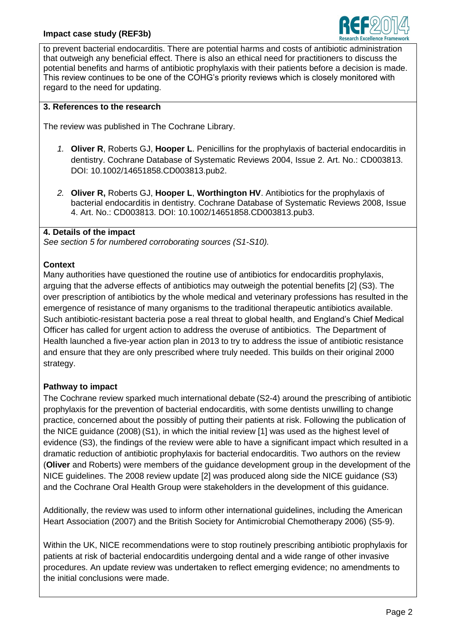## **Impact case study (REF3b)**



to prevent bacterial endocarditis. There are potential harms and costs of antibiotic administration that outweigh any beneficial effect. There is also an ethical need for practitioners to discuss the potential benefits and harms of antibiotic prophylaxis with their patients before a decision is made. This review continues to be one of the COHG's priority reviews which is closely monitored with regard to the need for updating.

## **3. References to the research**

The review was published in The Cochrane Library.

- *1.* **Oliver R**, Roberts GJ, **Hooper L**. Penicillins for the prophylaxis of bacterial endocarditis in dentistry. Cochrane Database of Systematic Reviews 2004, Issue 2. Art. No.: CD003813. DOI: 10.1002/14651858.CD003813.pub2.
- *2.* **Oliver R,** Roberts GJ, **Hooper L**, **Worthington HV**. Antibiotics for the prophylaxis of bacterial endocarditis in dentistry. Cochrane Database of Systematic Reviews 2008, Issue 4. Art. No.: CD003813. DOI: 10.1002/14651858.CD003813.pub3.

#### **4. Details of the impact**

*See section 5 for numbered corroborating sources (S1-S10).* 

#### **Context**

Many authorities have questioned the routine use of antibiotics for endocarditis prophylaxis, arguing that the adverse effects of antibiotics may outweigh the potential benefits [2] (S3). The over prescription of antibiotics by the whole medical and veterinary professions has resulted in the emergence of resistance of many organisms to the traditional therapeutic antibiotics available. Such antibiotic-resistant bacteria pose a real threat to global health, and England's Chief Medical Officer has called for urgent action to address the overuse of antibiotics. The Department of Health launched a five-year action plan in 2013 to try to address the issue of antibiotic resistance and ensure that they are only prescribed where truly needed. This builds on their original 2000 strategy.

### **Pathway to impact**

The Cochrane review sparked much international debate (S2-4) around the prescribing of antibiotic prophylaxis for the prevention of bacterial endocarditis, with some dentists unwilling to change practice, concerned about the possibly of putting their patients at risk. Following the publication of the NICE guidance (2008) (S1), in which the initial review [1] was used as the highest level of evidence (S3), the findings of the review were able to have a significant impact which resulted in a dramatic reduction of antibiotic prophylaxis for bacterial endocarditis. Two authors on the review (**Oliver** and Roberts) were members of the guidance development group in the development of the NICE guidelines. The 2008 review update [2] was produced along side the NICE guidance (S3) and the Cochrane Oral Health Group were stakeholders in the development of this guidance.

Additionally, the review was used to inform other international guidelines, including the American Heart Association (2007) and the British Society for Antimicrobial Chemotherapy 2006) (S5-9).

Within the UK, NICE recommendations were to stop routinely prescribing antibiotic prophylaxis for patients at risk of bacterial endocarditis undergoing dental and a wide range of other invasive procedures. An update review was undertaken to reflect emerging evidence; no amendments to the initial conclusions were made.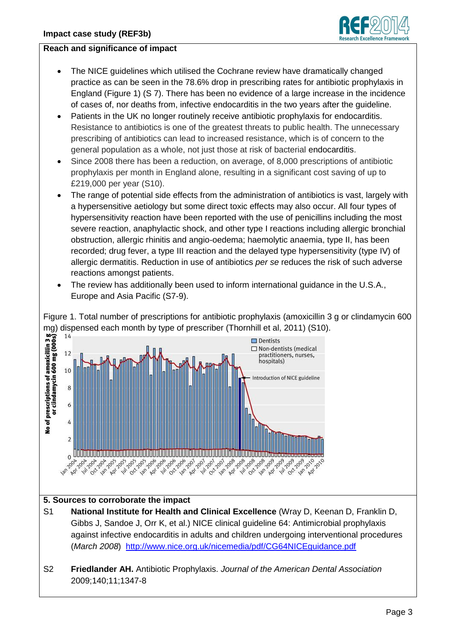

## **Reach and significance of impact**

- The NICE guidelines which utilised the Cochrane review have dramatically changed practice as can be seen in the 78.6% drop in prescribing rates for antibiotic prophylaxis in England (Figure 1) (S 7). There has been no evidence of a large increase in the incidence of cases of, nor deaths from, infective endocarditis in the two years after the guideline.
- Patients in the UK no longer routinely receive antibiotic prophylaxis for endocarditis. Resistance to antibiotics is one of the greatest threats to public health. The unnecessary prescribing of antibiotics can lead to increased resistance, which is of concern to the general population as a whole, not just those at risk of bacterial endocarditis.
- Since 2008 there has been a reduction, on average, of 8,000 prescriptions of antibiotic prophylaxis per month in England alone, resulting in a significant cost saving of up to £219,000 per year (S10).
- The range of potential side effects from the administration of antibiotics is vast, largely with a hypersensitive aetiology but some direct toxic effects may also occur. All four types of hypersensitivity reaction have been reported with the use of penicillins including the most severe reaction, anaphylactic shock, and other type I reactions including allergic bronchial obstruction, allergic rhinitis and angio-oedema; haemolytic anaemia, type II, has been recorded; drug fever, a type III reaction and the delayed type hypersensitivity (type IV) of allergic dermatitis. Reduction in use of antibiotics *per se* reduces the risk of such adverse reactions amongst patients.
- The review has additionally been used to inform international guidance in the U.S.A., Europe and Asia Pacific (S7-9).

Figure 1. Total number of prescriptions for antibiotic prophylaxis (amoxicillin 3 g or clindamycin 600



# **5. Sources to corroborate the impact**

- S1 **National Institute for Health and Clinical Excellence** (Wray D, Keenan D, Franklin D, Gibbs J, Sandoe J, Orr K, et al.) NICE clinical guideline 64: Antimicrobial prophylaxis against infective endocarditis in adults and children undergoing interventional procedures (*March 2008*) <http://www.nice.org.uk/nicemedia/pdf/CG64NICEguidance.pdf>
- S2 **Friedlander AH.** Antibiotic Prophylaxis. *Journal of the American Dental Association*  2009;140;11;1347-8